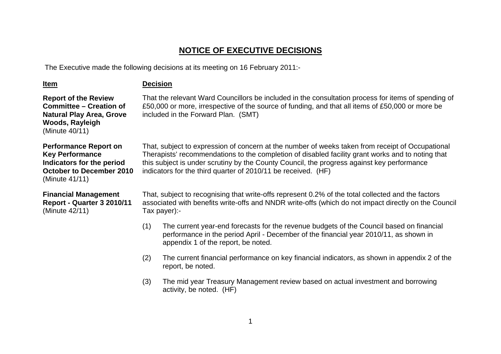## **NOTICE OF EXECUTIVE DECISIONS**

The Executive made the following decisions at its meeting on 16 February 2011:-

| <u>Item</u>                                                                                                                              | <b>Decision</b>                                                                                                                                                                                                                                                                                                                                                      |                                                                                                                                                                                                                                                |  |  |
|------------------------------------------------------------------------------------------------------------------------------------------|----------------------------------------------------------------------------------------------------------------------------------------------------------------------------------------------------------------------------------------------------------------------------------------------------------------------------------------------------------------------|------------------------------------------------------------------------------------------------------------------------------------------------------------------------------------------------------------------------------------------------|--|--|
| <b>Report of the Review</b><br><b>Committee – Creation of</b><br><b>Natural Play Area, Grove</b><br>Woods, Rayleigh<br>(Minute 40/11)    |                                                                                                                                                                                                                                                                                                                                                                      | That the relevant Ward Councillors be included in the consultation process for items of spending of<br>£50,000 or more, irrespective of the source of funding, and that all items of £50,000 or more be<br>included in the Forward Plan. (SMT) |  |  |
| <b>Performance Report on</b><br><b>Key Performance</b><br>Indicators for the period<br><b>October to December 2010</b><br>(Minute 41/11) | That, subject to expression of concern at the number of weeks taken from receipt of Occupational<br>Therapists' recommendations to the completion of disabled facility grant works and to noting that<br>this subject is under scrutiny by the County Council, the progress against key performance<br>indicators for the third quarter of 2010/11 be received. (HF) |                                                                                                                                                                                                                                                |  |  |
| <b>Financial Management</b><br>Report - Quarter 3 2010/11<br>(Minute 42/11)                                                              | That, subject to recognising that write-offs represent 0.2% of the total collected and the factors<br>associated with benefits write-offs and NNDR write-offs (which do not impact directly on the Council<br>Tax payer):-                                                                                                                                           |                                                                                                                                                                                                                                                |  |  |
|                                                                                                                                          | (1)                                                                                                                                                                                                                                                                                                                                                                  | The current year-end forecasts for the revenue budgets of the Council based on financial<br>performance in the period April - December of the financial year 2010/11, as shown in<br>appendix 1 of the report, be noted.                       |  |  |
|                                                                                                                                          | (2)                                                                                                                                                                                                                                                                                                                                                                  | The current financial performance on key financial indicators, as shown in appendix 2 of the<br>report, be noted.                                                                                                                              |  |  |
|                                                                                                                                          |                                                                                                                                                                                                                                                                                                                                                                      | The mid year Treasury Management review based on actual investment and borrowing                                                                                                                                                               |  |  |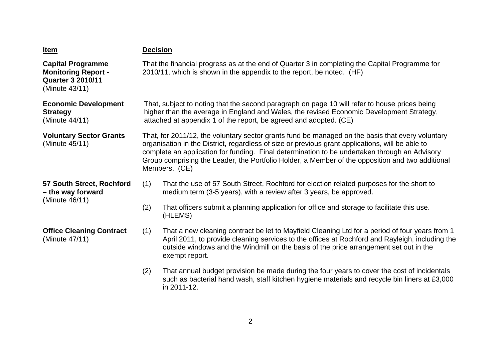| <u>Item</u>                                                                                          | <b>Decision</b>                                                                                                                                                                                                                                                                                                                                                                                                            |                                                                                                                                                                                                                                                                                                              |  |
|------------------------------------------------------------------------------------------------------|----------------------------------------------------------------------------------------------------------------------------------------------------------------------------------------------------------------------------------------------------------------------------------------------------------------------------------------------------------------------------------------------------------------------------|--------------------------------------------------------------------------------------------------------------------------------------------------------------------------------------------------------------------------------------------------------------------------------------------------------------|--|
| <b>Capital Programme</b><br><b>Monitoring Report -</b><br><b>Quarter 3 2010/11</b><br>(Minute 43/11) | That the financial progress as at the end of Quarter 3 in completing the Capital Programme for<br>2010/11, which is shown in the appendix to the report, be noted. (HF)                                                                                                                                                                                                                                                    |                                                                                                                                                                                                                                                                                                              |  |
| <b>Economic Development</b><br><b>Strategy</b><br>(Minute 44/11)                                     | That, subject to noting that the second paragraph on page 10 will refer to house prices being<br>higher than the average in England and Wales, the revised Economic Development Strategy,<br>attached at appendix 1 of the report, be agreed and adopted. (CE)                                                                                                                                                             |                                                                                                                                                                                                                                                                                                              |  |
| <b>Voluntary Sector Grants</b><br>(Minute 45/11)                                                     | That, for 2011/12, the voluntary sector grants fund be managed on the basis that every voluntary<br>organisation in the District, regardless of size or previous grant applications, will be able to<br>complete an application for funding. Final determination to be undertaken through an Advisory<br>Group comprising the Leader, the Portfolio Holder, a Member of the opposition and two additional<br>Members. (CE) |                                                                                                                                                                                                                                                                                                              |  |
| 57 South Street, Rochford<br>- the way forward<br>(Minute 46/11)                                     | (1)                                                                                                                                                                                                                                                                                                                                                                                                                        | That the use of 57 South Street, Rochford for election related purposes for the short to<br>medium term (3-5 years), with a review after 3 years, be approved.                                                                                                                                               |  |
|                                                                                                      | (2)                                                                                                                                                                                                                                                                                                                                                                                                                        | That officers submit a planning application for office and storage to facilitate this use.<br>(HLEMS)                                                                                                                                                                                                        |  |
| <b>Office Cleaning Contract</b><br>(Minute 47/11)                                                    | (1)                                                                                                                                                                                                                                                                                                                                                                                                                        | That a new cleaning contract be let to Mayfield Cleaning Ltd for a period of four years from 1<br>April 2011, to provide cleaning services to the offices at Rochford and Rayleigh, including the<br>outside windows and the Windmill on the basis of the price arrangement set out in the<br>exempt report. |  |
|                                                                                                      | (2)                                                                                                                                                                                                                                                                                                                                                                                                                        | That annual budget provision be made during the four years to cover the cost of incidentals<br>such as bacterial hand wash, staff kitchen hygiene materials and recycle bin liners at £3,000<br>in 2011-12.                                                                                                  |  |